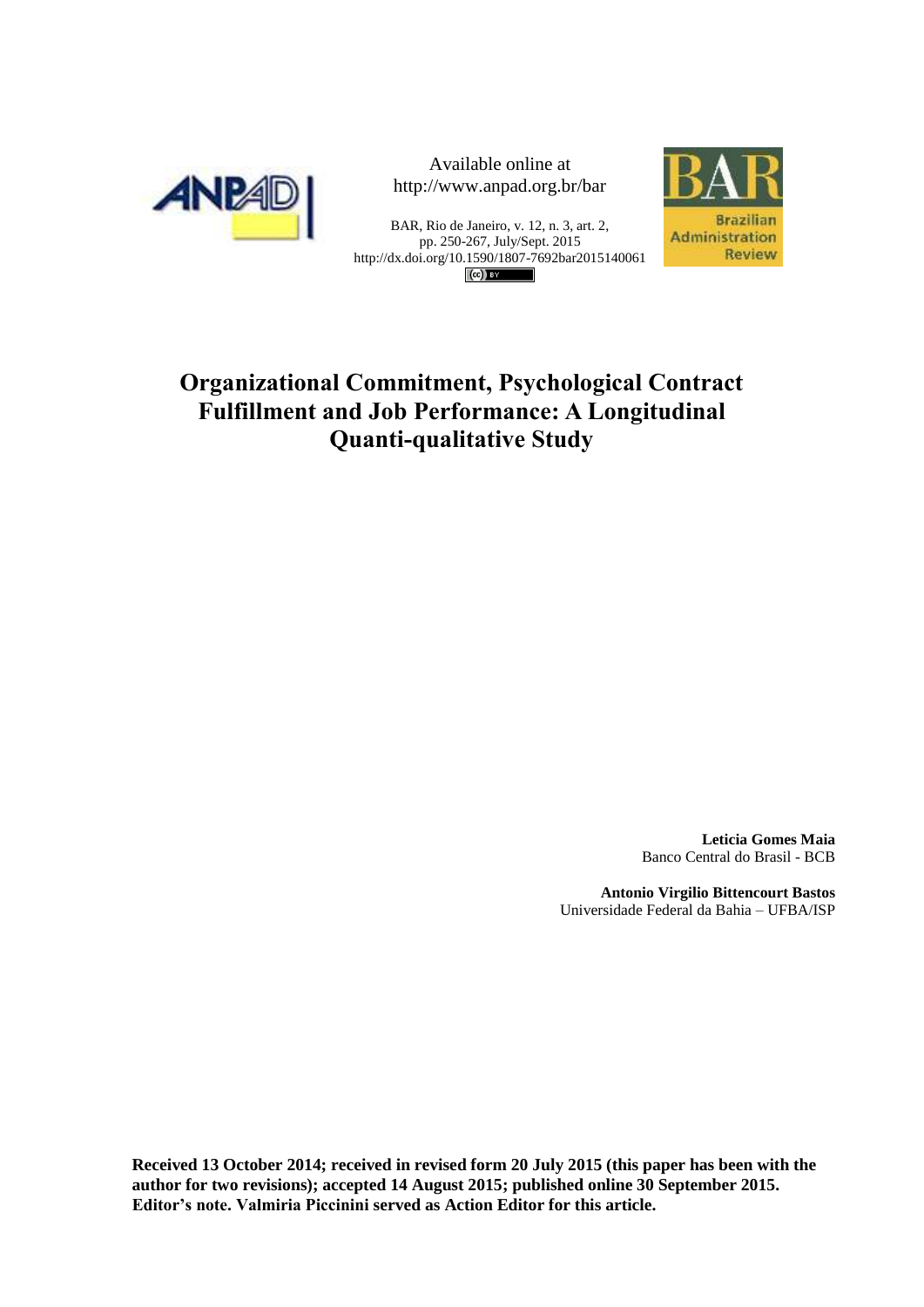

Available online at http://www.anpad.org.br/bar

BAR, Rio de Janeiro, v. 12, n. 3, art. 2, pp. 250-267, July/Sept. 2015 http://dx.doi.org/10.1590/1807-7692bar2015140061  $\left($   $\infty$   $\right)$   $\infty$ 



# **Organizational Commitment, Psychological Contract Fulfillment and Job Performance: A Longitudinal Quanti-qualitative Study**

**Leticia Gomes Maia** Banco Central do Brasil - BCB

**Antonio Virgilio Bittencourt Bastos** Universidade Federal da Bahia – UFBA/ISP

**Received 13 October 2014; received in revised form 20 July 2015 (this paper has been with the author for two revisions); accepted 14 August 2015; published online 30 September 2015. Editor's note. Valmiria Piccinini served as Action Editor for this article.**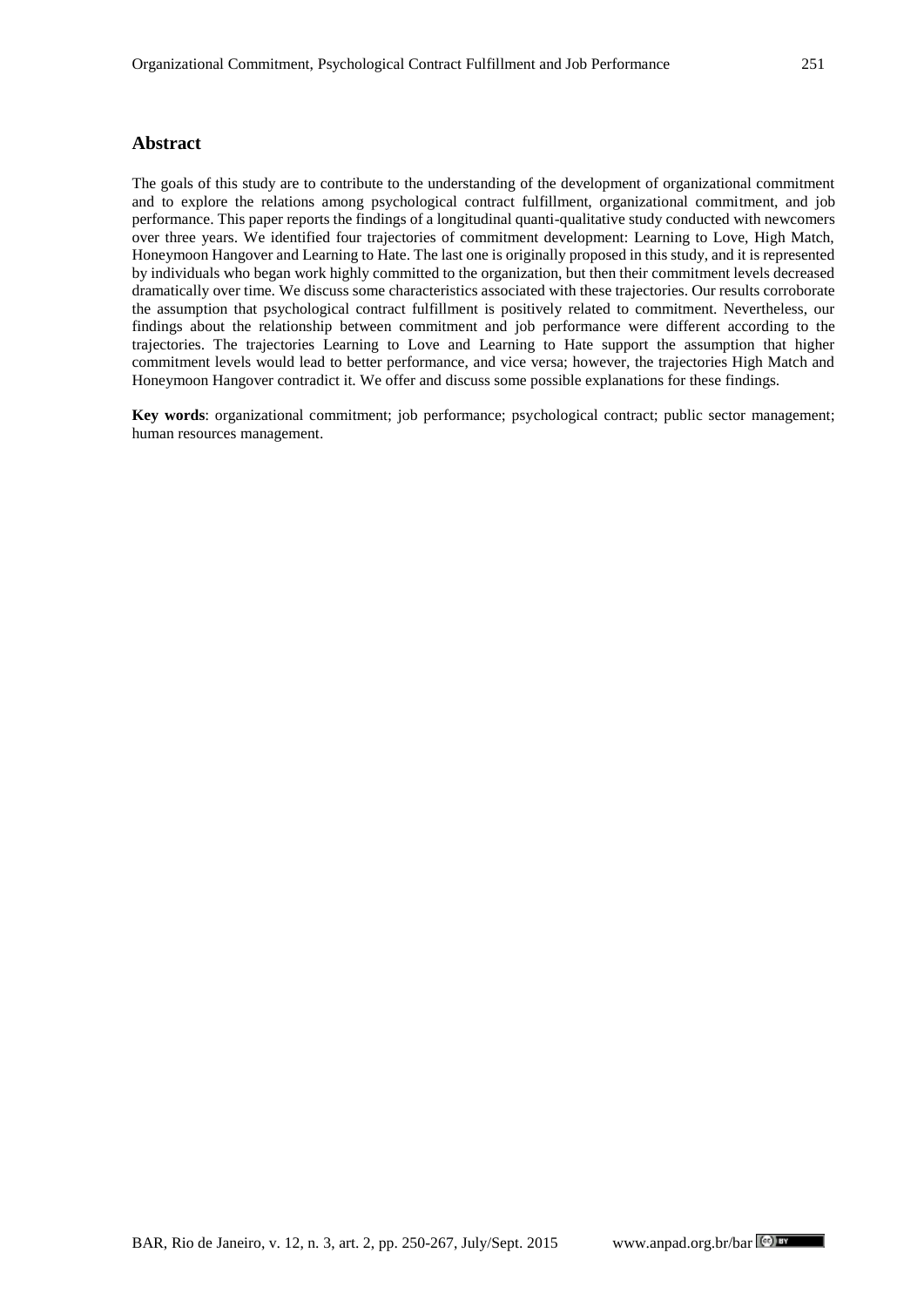#### **Abstract**

The goals of this study are to contribute to the understanding of the development of organizational commitment and to explore the relations among psychological contract fulfillment, organizational commitment, and job performance. This paper reports the findings of a longitudinal quanti-qualitative study conducted with newcomers over three years. We identified four trajectories of commitment development: Learning to Love, High Match, Honeymoon Hangover and Learning to Hate. The last one is originally proposed in this study, and it is represented by individuals who began work highly committed to the organization, but then their commitment levels decreased dramatically over time. We discuss some characteristics associated with these trajectories. Our results corroborate the assumption that psychological contract fulfillment is positively related to commitment. Nevertheless, our findings about the relationship between commitment and job performance were different according to the trajectories. The trajectories Learning to Love and Learning to Hate support the assumption that higher commitment levels would lead to better performance, and vice versa; however, the trajectories High Match and Honeymoon Hangover contradict it. We offer and discuss some possible explanations for these findings.

**Key words**: organizational commitment; job performance; psychological contract; public sector management; human resources management.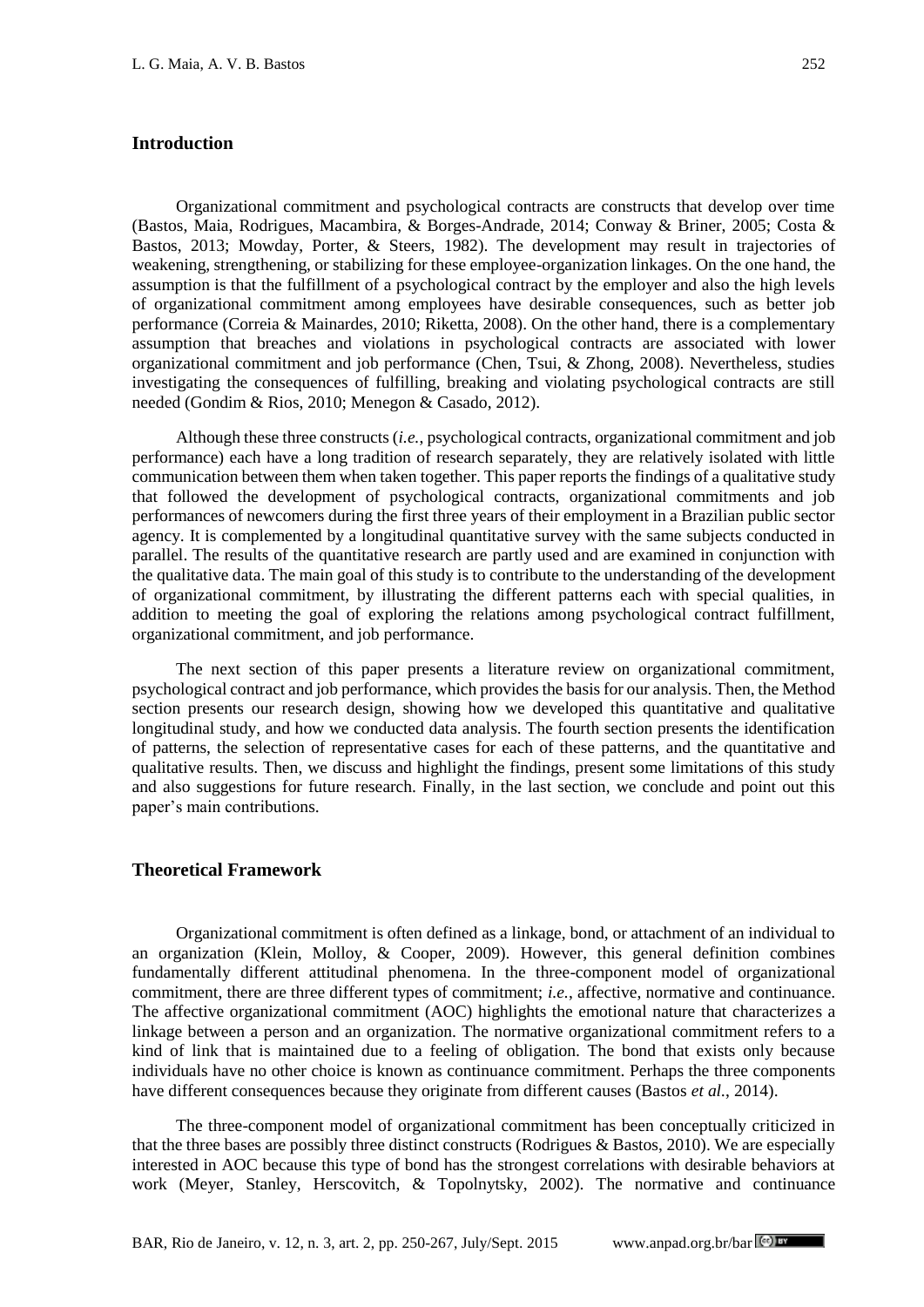# **Introduction**

Organizational commitment and psychological contracts are constructs that develop over time (Bastos, Maia, Rodrigues, Macambira, & Borges-Andrade, 2014; Conway & Briner, 2005; Costa & Bastos, 2013; Mowday, Porter, & Steers, 1982). The development may result in trajectories of weakening, strengthening, or stabilizing for these employee-organization linkages. On the one hand, the assumption is that the fulfillment of a psychological contract by the employer and also the high levels of organizational commitment among employees have desirable consequences, such as better job performance (Correia & Mainardes, 2010; Riketta, 2008). On the other hand, there is a complementary assumption that breaches and violations in psychological contracts are associated with lower organizational commitment and job performance (Chen, Tsui, & Zhong, 2008). Nevertheless, studies investigating the consequences of fulfilling, breaking and violating psychological contracts are still needed (Gondim & Rios, 2010; Menegon & Casado, 2012).

Although these three constructs (*i.e.*, psychological contracts, organizational commitment and job performance) each have a long tradition of research separately, they are relatively isolated with little communication between them when taken together. This paper reports the findings of a qualitative study that followed the development of psychological contracts, organizational commitments and job performances of newcomers during the first three years of their employment in a Brazilian public sector agency. It is complemented by a longitudinal quantitative survey with the same subjects conducted in parallel. The results of the quantitative research are partly used and are examined in conjunction with the qualitative data. The main goal of this study is to contribute to the understanding of the development of organizational commitment, by illustrating the different patterns each with special qualities, in addition to meeting the goal of exploring the relations among psychological contract fulfillment, organizational commitment, and job performance.

The next section of this paper presents a literature review on organizational commitment, psychological contract and job performance, which provides the basis for our analysis. Then, the Method section presents our research design, showing how we developed this quantitative and qualitative longitudinal study, and how we conducted data analysis. The fourth section presents the identification of patterns, the selection of representative cases for each of these patterns, and the quantitative and qualitative results. Then, we discuss and highlight the findings, present some limitations of this study and also suggestions for future research. Finally, in the last section, we conclude and point out this paper's main contributions.

#### **Theoretical Framework**

Organizational commitment is often defined as a linkage, bond, or attachment of an individual to an organization (Klein, Molloy, & Cooper, 2009). However, this general definition combines fundamentally different attitudinal phenomena. In the three-component model of organizational commitment, there are three different types of commitment; *i.e.*, affective, normative and continuance. The affective organizational commitment (AOC) highlights the emotional nature that characterizes a linkage between a person and an organization. The normative organizational commitment refers to a kind of link that is maintained due to a feeling of obligation. The bond that exists only because individuals have no other choice is known as continuance commitment. Perhaps the three components have different consequences because they originate from different causes (Bastos *et al.*, 2014).

The three-component model of organizational commitment has been conceptually criticized in that the three bases are possibly three distinct constructs (Rodrigues & Bastos, 2010). We are especially interested in AOC because this type of bond has the strongest correlations with desirable behaviors at work (Meyer, Stanley, Herscovitch, & Topolnytsky, 2002). The normative and continuance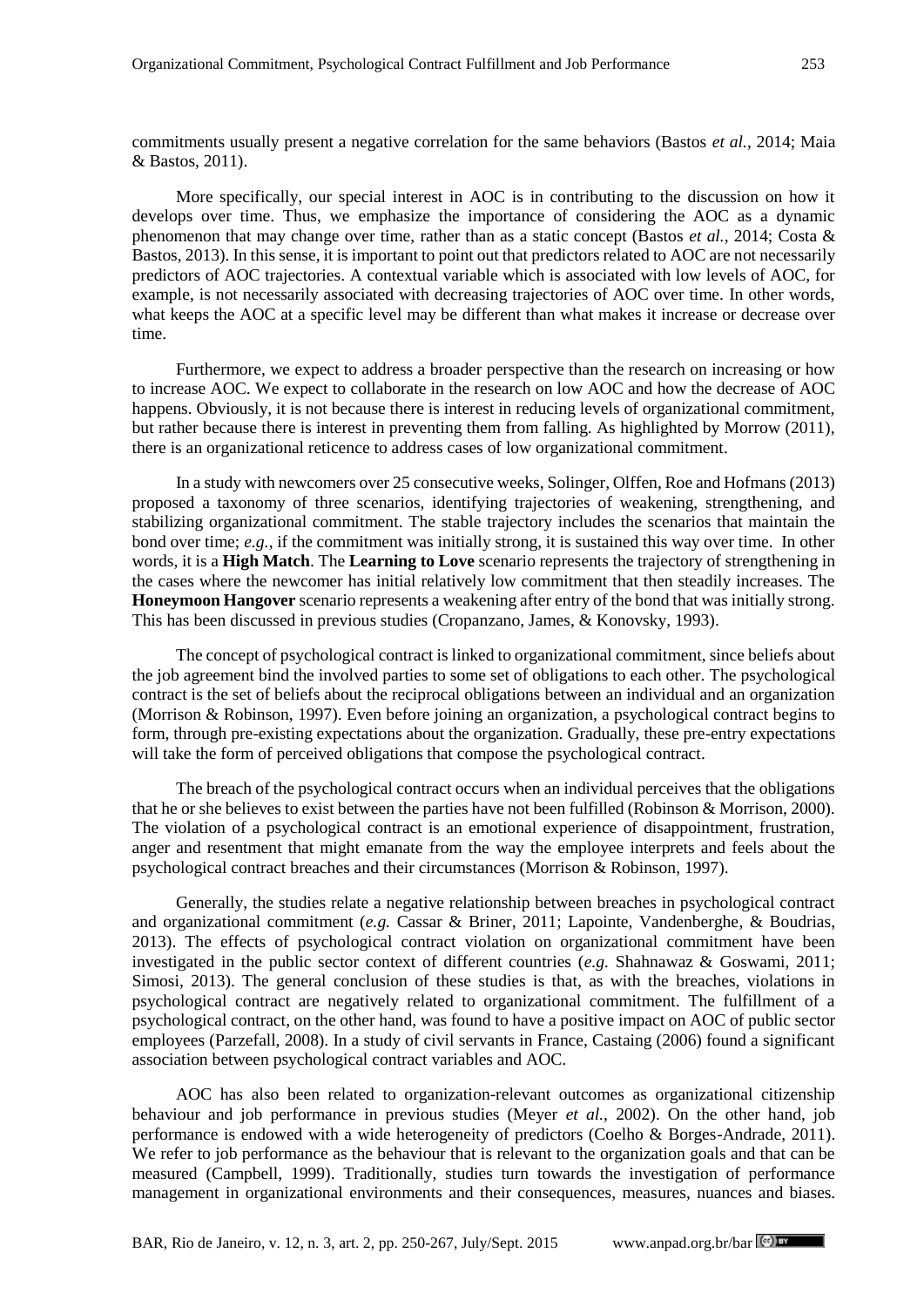commitments usually present a negative correlation for the same behaviors (Bastos *et al.*, 2014; Maia & Bastos, 2011).

More specifically, our special interest in AOC is in contributing to the discussion on how it develops over time. Thus, we emphasize the importance of considering the AOC as a dynamic phenomenon that may change over time, rather than as a static concept (Bastos *et al.*, 2014; Costa & Bastos, 2013). In this sense, it is important to point out that predictors related to AOC are not necessarily predictors of AOC trajectories. A contextual variable which is associated with low levels of AOC, for example, is not necessarily associated with decreasing trajectories of AOC over time. In other words, what keeps the AOC at a specific level may be different than what makes it increase or decrease over time.

Furthermore, we expect to address a broader perspective than the research on increasing or how to increase AOC. We expect to collaborate in the research on low AOC and how the decrease of AOC happens. Obviously, it is not because there is interest in reducing levels of organizational commitment, but rather because there is interest in preventing them from falling. As highlighted by Morrow (2011), there is an organizational reticence to address cases of low organizational commitment.

In a study with newcomers over 25 consecutive weeks, Solinger, Olffen, Roe and Hofmans (2013) proposed a taxonomy of three scenarios, identifying trajectories of weakening, strengthening, and stabilizing organizational commitment. The stable trajectory includes the scenarios that maintain the bond over time; *e.g.*, if the commitment was initially strong, it is sustained this way over time. In other words, it is a **High Match**. The **Learning to Love** scenario represents the trajectory of strengthening in the cases where the newcomer has initial relatively low commitment that then steadily increases. The **Honeymoon Hangover** scenario represents a weakening after entry of the bond that was initially strong. This has been discussed in previous studies (Cropanzano, James, & Konovsky, 1993).

The concept of psychological contract is linked to organizational commitment, since beliefs about the job agreement bind the involved parties to some set of obligations to each other. The psychological contract is the set of beliefs about the reciprocal obligations between an individual and an organization (Morrison & Robinson, 1997). Even before joining an organization, a psychological contract begins to form, through pre-existing expectations about the organization. Gradually, these pre-entry expectations will take the form of perceived obligations that compose the psychological contract.

The breach of the psychological contract occurs when an individual perceives that the obligations that he or she believes to exist between the parties have not been fulfilled (Robinson & Morrison, 2000). The violation of a psychological contract is an emotional experience of disappointment, frustration, anger and resentment that might emanate from the way the employee interprets and feels about the psychological contract breaches and their circumstances (Morrison & Robinson, 1997).

Generally, the studies relate a negative relationship between breaches in psychological contract and organizational commitment (*e.g.* Cassar & Briner, 2011; Lapointe, Vandenberghe, & Boudrias, 2013). The effects of psychological contract violation on organizational commitment have been investigated in the public sector context of different countries (*e.g.* Shahnawaz & Goswami, 2011; Simosi, 2013). The general conclusion of these studies is that, as with the breaches, violations in psychological contract are negatively related to organizational commitment. The fulfillment of a psychological contract, on the other hand, was found to have a positive impact on AOC of public sector employees (Parzefall, 2008). In a study of civil servants in France, Castaing (2006) found a significant association between psychological contract variables and AOC.

AOC has also been related to organization-relevant outcomes as organizational citizenship behaviour and job performance in previous studies (Meyer *et al.*, 2002). On the other hand, job performance is endowed with a wide heterogeneity of predictors (Coelho & Borges-Andrade, 2011). We refer to job performance as the behaviour that is relevant to the organization goals and that can be measured (Campbell, 1999). Traditionally, studies turn towards the investigation of performance management in organizational environments and their consequences, measures, nuances and biases.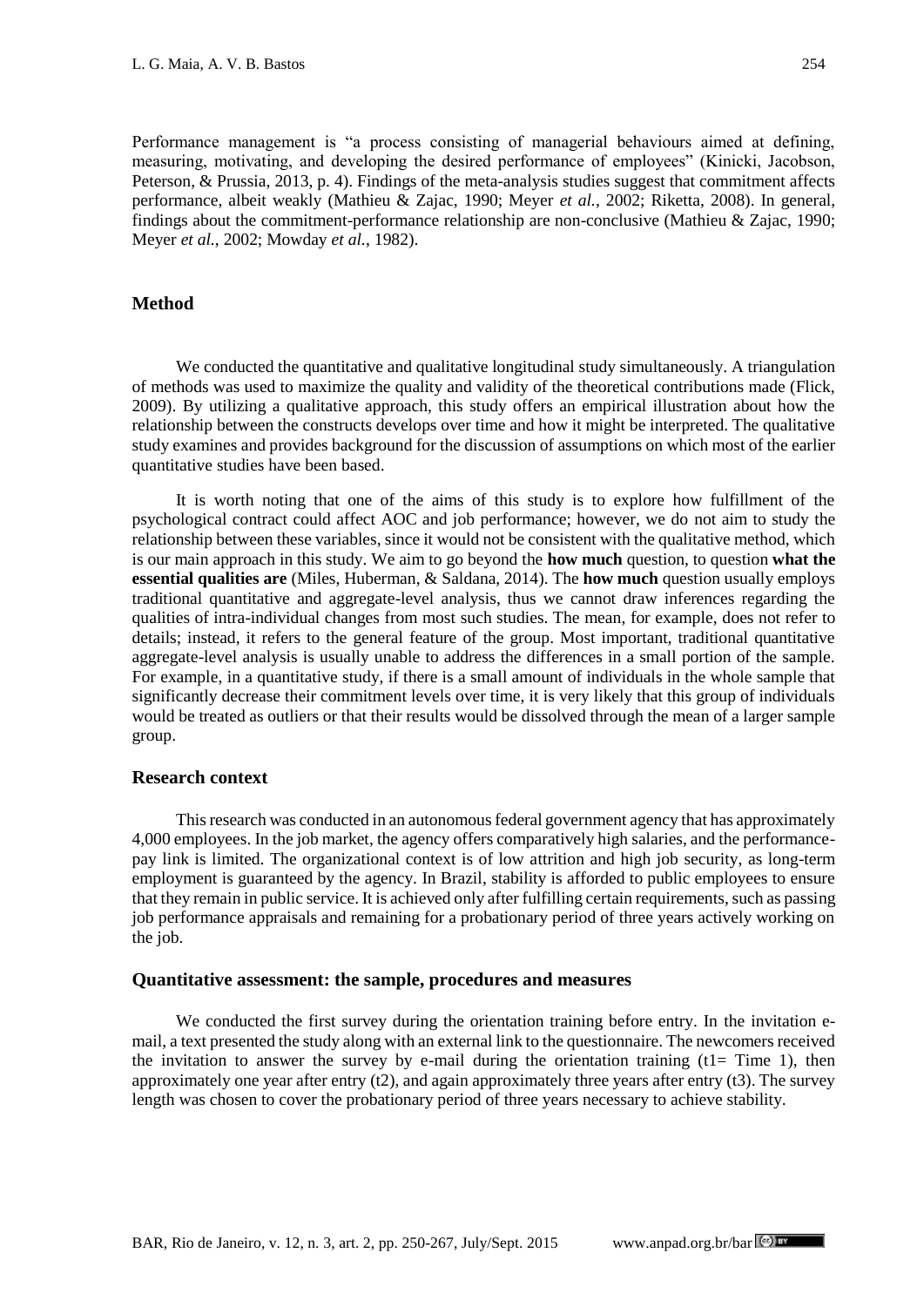Performance management is "a process consisting of managerial behaviours aimed at defining, measuring, motivating, and developing the desired performance of employees" (Kinicki, Jacobson, Peterson, & Prussia, 2013, p. 4). Findings of the meta-analysis studies suggest that commitment affects performance, albeit weakly (Mathieu & Zajac, 1990; Meyer *et al.*, 2002; Riketta, 2008). In general, findings about the commitment-performance relationship are non-conclusive (Mathieu & Zajac, 1990; Meyer *et al.*, 2002; Mowday *et al.*, 1982).

# **Method**

We conducted the quantitative and qualitative longitudinal study simultaneously. A triangulation of methods was used to maximize the quality and validity of the theoretical contributions made (Flick, 2009). By utilizing a qualitative approach, this study offers an empirical illustration about how the relationship between the constructs develops over time and how it might be interpreted. The qualitative study examines and provides background for the discussion of assumptions on which most of the earlier quantitative studies have been based.

It is worth noting that one of the aims of this study is to explore how fulfillment of the psychological contract could affect AOC and job performance; however, we do not aim to study the relationship between these variables, since it would not be consistent with the qualitative method, which is our main approach in this study. We aim to go beyond the **how much** question, to question **what the essential qualities are** (Miles, Huberman, & Saldana, 2014). The **how much** question usually employs traditional quantitative and aggregate-level analysis, thus we cannot draw inferences regarding the qualities of intra-individual changes from most such studies. The mean, for example, does not refer to details; instead, it refers to the general feature of the group. Most important, traditional quantitative aggregate-level analysis is usually unable to address the differences in a small portion of the sample. For example, in a quantitative study, if there is a small amount of individuals in the whole sample that significantly decrease their commitment levels over time, it is very likely that this group of individuals would be treated as outliers or that their results would be dissolved through the mean of a larger sample group.

# **Research context**

This research was conducted in an autonomous federal government agency that has approximately 4,000 employees. In the job market, the agency offers comparatively high salaries, and the performancepay link is limited. The organizational context is of low attrition and high job security, as long-term employment is guaranteed by the agency. In Brazil, stability is afforded to public employees to ensure that they remain in public service. It is achieved only after fulfilling certain requirements, such as passing job performance appraisals and remaining for a probationary period of three years actively working on the job.

#### **Quantitative assessment: the sample, procedures and measures**

We conducted the first survey during the orientation training before entry. In the invitation email, a text presented the study along with an external link to the questionnaire. The newcomers received the invitation to answer the survey by e-mail during the orientation training ( $t1=$  Time 1), then approximately one year after entry  $(t2)$ , and again approximately three years after entry  $(t3)$ . The survey length was chosen to cover the probationary period of three years necessary to achieve stability.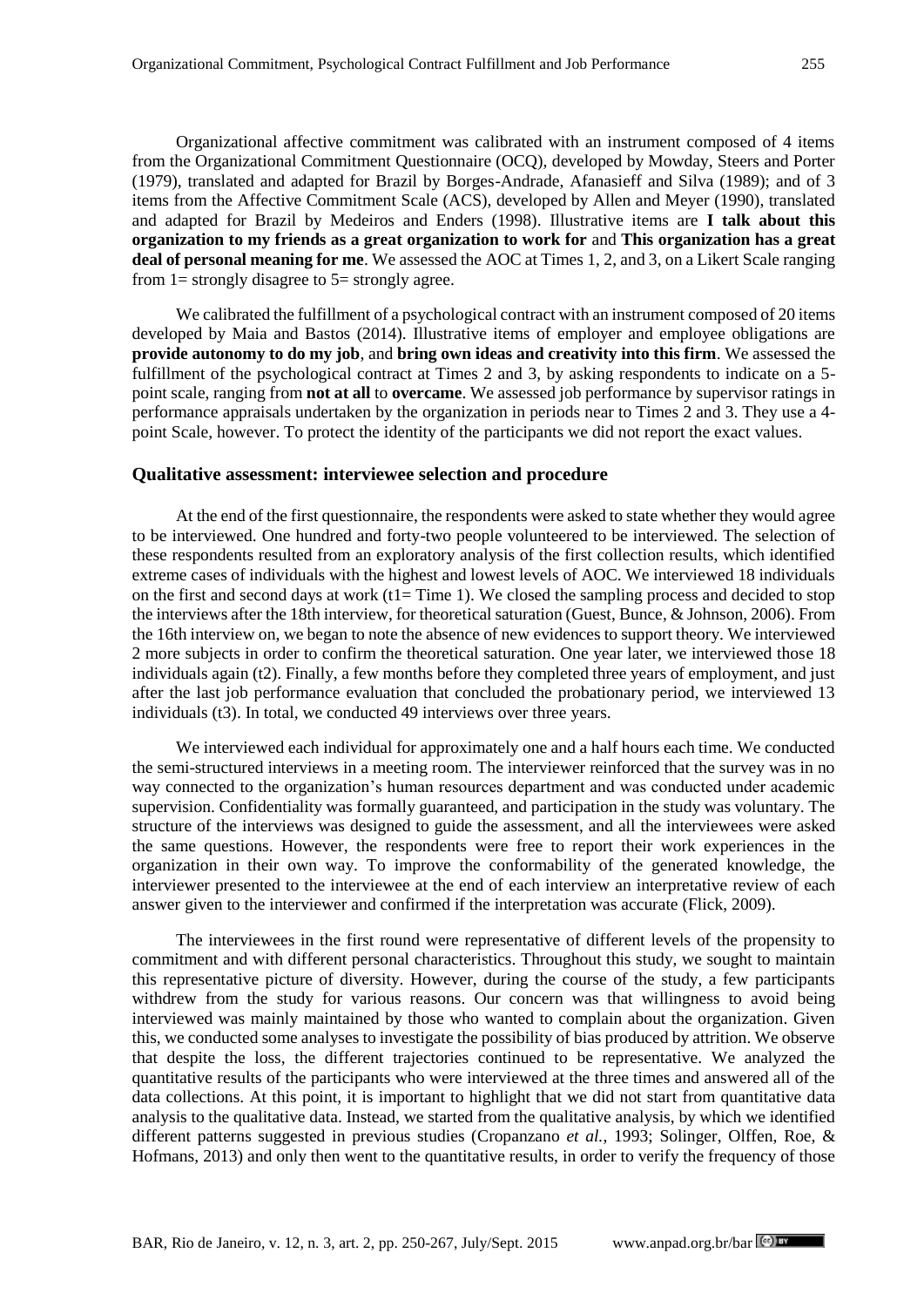Organizational affective commitment was calibrated with an instrument composed of 4 items from the Organizational Commitment Questionnaire (OCQ), developed by Mowday, Steers and Porter (1979), translated and adapted for Brazil by Borges-Andrade, Afanasieff and Silva (1989); and of 3 items from the Affective Commitment Scale (ACS), developed by Allen and Meyer (1990), translated and adapted for Brazil by Medeiros and Enders (1998). Illustrative items are **I talk about this organization to my friends as a great organization to work for** and **This organization has a great deal of personal meaning for me**. We assessed the AOC at Times 1, 2, and 3, on a Likert Scale ranging from  $1=$  strongly disagree to  $5=$  strongly agree.

We calibrated the fulfillment of a psychological contract with an instrument composed of 20 items developed by Maia and Bastos (2014). Illustrative items of employer and employee obligations are **provide autonomy to do my job**, and **bring own ideas and creativity into this firm**. We assessed the fulfillment of the psychological contract at Times 2 and 3, by asking respondents to indicate on a 5point scale, ranging from **not at all** to **overcame**. We assessed job performance by supervisor ratings in performance appraisals undertaken by the organization in periods near to Times 2 and 3. They use a 4 point Scale, however. To protect the identity of the participants we did not report the exact values.

#### **Qualitative assessment: interviewee selection and procedure**

At the end of the first questionnaire, the respondents were asked to state whether they would agree to be interviewed. One hundred and forty-two people volunteered to be interviewed. The selection of these respondents resulted from an exploratory analysis of the first collection results, which identified extreme cases of individuals with the highest and lowest levels of AOC. We interviewed 18 individuals on the first and second days at work ( $t1=$  Time 1). We closed the sampling process and decided to stop the interviews after the 18th interview, for theoretical saturation (Guest, Bunce, & Johnson, 2006). From the 16th interview on, we began to note the absence of new evidences to support theory. We interviewed 2 more subjects in order to confirm the theoretical saturation. One year later, we interviewed those 18 individuals again (t2). Finally, a few months before they completed three years of employment, and just after the last job performance evaluation that concluded the probationary period, we interviewed 13 individuals (t3). In total, we conducted 49 interviews over three years.

We interviewed each individual for approximately one and a half hours each time. We conducted the semi-structured interviews in a meeting room. The interviewer reinforced that the survey was in no way connected to the organization's human resources department and was conducted under academic supervision. Confidentiality was formally guaranteed, and participation in the study was voluntary. The structure of the interviews was designed to guide the assessment, and all the interviewees were asked the same questions. However, the respondents were free to report their work experiences in the organization in their own way. To improve the conformability of the generated knowledge, the interviewer presented to the interviewee at the end of each interview an interpretative review of each answer given to the interviewer and confirmed if the interpretation was accurate (Flick, 2009).

The interviewees in the first round were representative of different levels of the propensity to commitment and with different personal characteristics. Throughout this study, we sought to maintain this representative picture of diversity. However, during the course of the study, a few participants withdrew from the study for various reasons. Our concern was that willingness to avoid being interviewed was mainly maintained by those who wanted to complain about the organization. Given this, we conducted some analyses to investigate the possibility of bias produced by attrition. We observe that despite the loss, the different trajectories continued to be representative. We analyzed the quantitative results of the participants who were interviewed at the three times and answered all of the data collections. At this point, it is important to highlight that we did not start from quantitative data analysis to the qualitative data. Instead, we started from the qualitative analysis, by which we identified different patterns suggested in previous studies (Cropanzano *et al.*, 1993; Solinger, Olffen, Roe, & Hofmans, 2013) and only then went to the quantitative results, in order to verify the frequency of those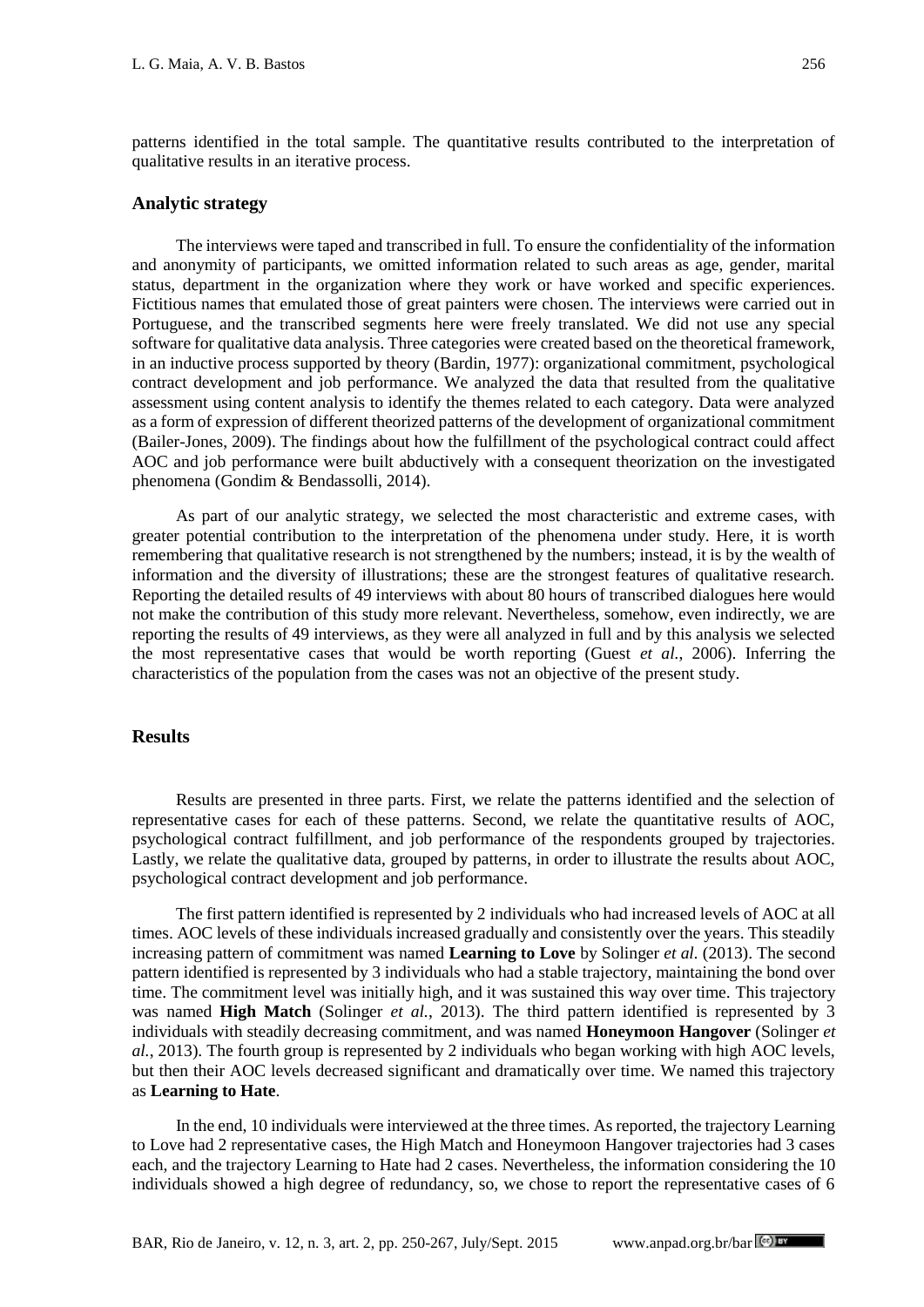patterns identified in the total sample. The quantitative results contributed to the interpretation of qualitative results in an iterative process.

## **Analytic strategy**

The interviews were taped and transcribed in full. To ensure the confidentiality of the information and anonymity of participants, we omitted information related to such areas as age, gender, marital status, department in the organization where they work or have worked and specific experiences. Fictitious names that emulated those of great painters were chosen. The interviews were carried out in Portuguese, and the transcribed segments here were freely translated. We did not use any special software for qualitative data analysis. Three categories were created based on the theoretical framework, in an inductive process supported by theory (Bardin, 1977): organizational commitment, psychological contract development and job performance. We analyzed the data that resulted from the qualitative assessment using content analysis to identify the themes related to each category. Data were analyzed as a form of expression of different theorized patterns of the development of organizational commitment (Bailer-Jones, 2009). The findings about how the fulfillment of the psychological contract could affect AOC and job performance were built abductively with a consequent theorization on the investigated phenomena (Gondim & Bendassolli, 2014).

As part of our analytic strategy, we selected the most characteristic and extreme cases, with greater potential contribution to the interpretation of the phenomena under study. Here, it is worth remembering that qualitative research is not strengthened by the numbers; instead, it is by the wealth of information and the diversity of illustrations; these are the strongest features of qualitative research. Reporting the detailed results of 49 interviews with about 80 hours of transcribed dialogues here would not make the contribution of this study more relevant. Nevertheless, somehow, even indirectly, we are reporting the results of 49 interviews, as they were all analyzed in full and by this analysis we selected the most representative cases that would be worth reporting (Guest *et al.*, 2006). Inferring the characteristics of the population from the cases was not an objective of the present study.

# **Results**

Results are presented in three parts. First, we relate the patterns identified and the selection of representative cases for each of these patterns. Second, we relate the quantitative results of AOC, psychological contract fulfillment, and job performance of the respondents grouped by trajectories. Lastly, we relate the qualitative data, grouped by patterns, in order to illustrate the results about AOC, psychological contract development and job performance.

The first pattern identified is represented by 2 individuals who had increased levels of AOC at all times. AOC levels of these individuals increased gradually and consistently over the years. This steadily increasing pattern of commitment was named **Learning to Love** by Solinger *et al.* (2013). The second pattern identified is represented by 3 individuals who had a stable trajectory, maintaining the bond over time. The commitment level was initially high, and it was sustained this way over time. This trajectory was named **High Match** (Solinger *et al.*, 2013). The third pattern identified is represented by 3 individuals with steadily decreasing commitment, and was named **Honeymoon Hangover** (Solinger *et al.*, 2013). The fourth group is represented by 2 individuals who began working with high AOC levels, but then their AOC levels decreased significant and dramatically over time. We named this trajectory as **Learning to Hate**.

In the end, 10 individuals were interviewed at the three times. As reported, the trajectory Learning to Love had 2 representative cases, the High Match and Honeymoon Hangover trajectories had 3 cases each, and the trajectory Learning to Hate had 2 cases. Nevertheless, the information considering the 10 individuals showed a high degree of redundancy, so, we chose to report the representative cases of 6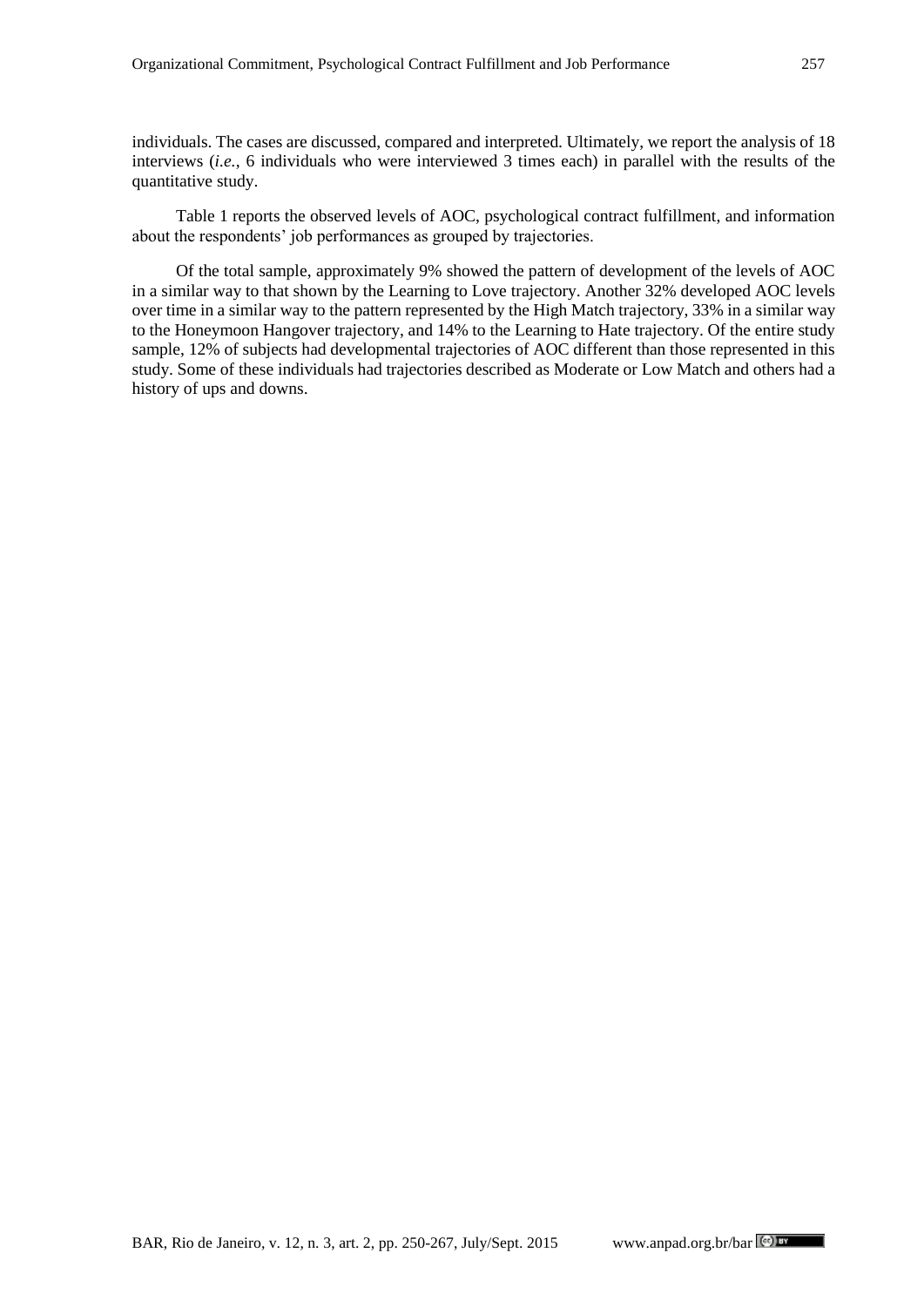individuals. The cases are discussed, compared and interpreted. Ultimately, we report the analysis of 18 interviews (*i.e.*, 6 individuals who were interviewed 3 times each) in parallel with the results of the quantitative study.

Table 1 reports the observed levels of AOC, psychological contract fulfillment, and information about the respondents' job performances as grouped by trajectories.

Of the total sample, approximately 9% showed the pattern of development of the levels of AOC in a similar way to that shown by the Learning to Love trajectory. Another 32% developed AOC levels over time in a similar way to the pattern represented by the High Match trajectory, 33% in a similar way to the Honeymoon Hangover trajectory, and 14% to the Learning to Hate trajectory. Of the entire study sample, 12% of subjects had developmental trajectories of AOC different than those represented in this study. Some of these individuals had trajectories described as Moderate or Low Match and others had a history of ups and downs.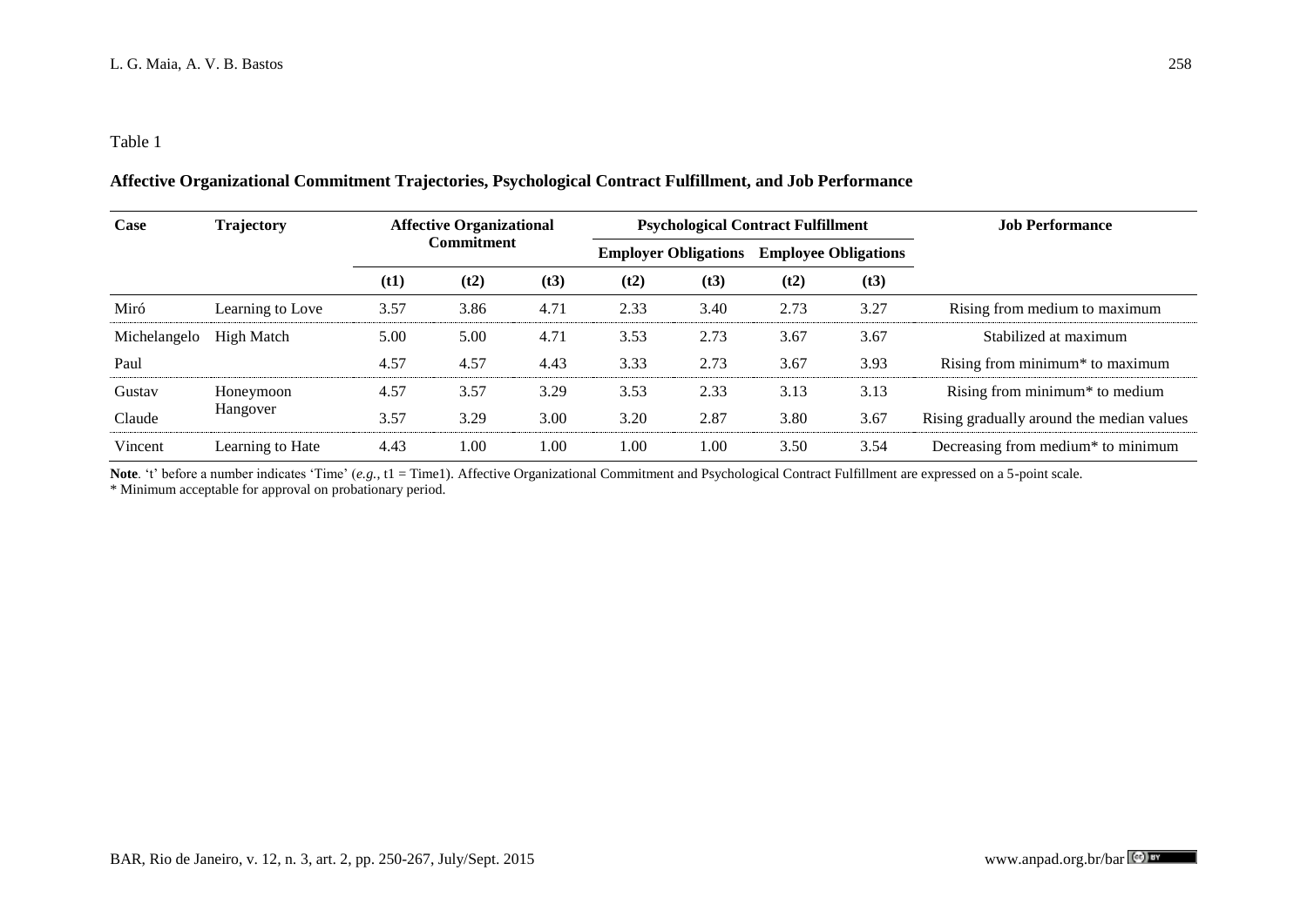# Table 1

# **Affective Organizational Commitment Trajectories, Psychological Contract Fulfillment, and Job Performance**

| Case         | <b>Trajectory</b>     | <b>Affective Organizational</b><br><b>Commitment</b> |      |      | <b>Psychological Contract Fulfillment</b> |      |                             |      | <b>Job Performance</b>                    |
|--------------|-----------------------|------------------------------------------------------|------|------|-------------------------------------------|------|-----------------------------|------|-------------------------------------------|
|              |                       |                                                      |      |      | <b>Employer Obligations</b>               |      | <b>Employee Obligations</b> |      |                                           |
|              |                       | (t1)                                                 | (t2) | (t3) | (t2)                                      | (t3) | (t2)                        | (13) |                                           |
| Miró         | Learning to Love      | 3.57                                                 | 3.86 | 4.71 | 2.33                                      | 3.40 | 2.73                        | 3.27 | Rising from medium to maximum             |
| Michelangelo | <b>High Match</b>     | 5.00                                                 | 5.00 | 4.71 | 3.53                                      | 2.73 | 3.67                        | 3.67 | Stabilized at maximum                     |
| Paul         |                       | 4.57                                                 | 4.57 | 4.43 | 3.33                                      | 2.73 | 3.67                        | 3.93 | Rising from minimum* to maximum           |
| Gustav       | Honeymoon<br>Hangover | 4.57                                                 | 3.57 | 3.29 | 3.53                                      | 2.33 | 3.13                        | 3.13 | Rising from minimum* to medium            |
| Claude       |                       | 3.57                                                 | 3.29 | 3.00 | 3.20                                      | 2.87 | 3.80                        | 3.67 | Rising gradually around the median values |
| Vincent      | Learning to Hate      | 4.43                                                 | 0.00 | 1.00 | 1.00                                      | 1.00 | 3.50                        | 3.54 | Decreasing from medium* to minimum        |

Note. 't' before a number indicates 'Time' (*e.g.*, t1 = Time1). Affective Organizational Commitment and Psychological Contract Fulfillment are expressed on a 5-point scale. \* Minimum acceptable for approval on probationary period.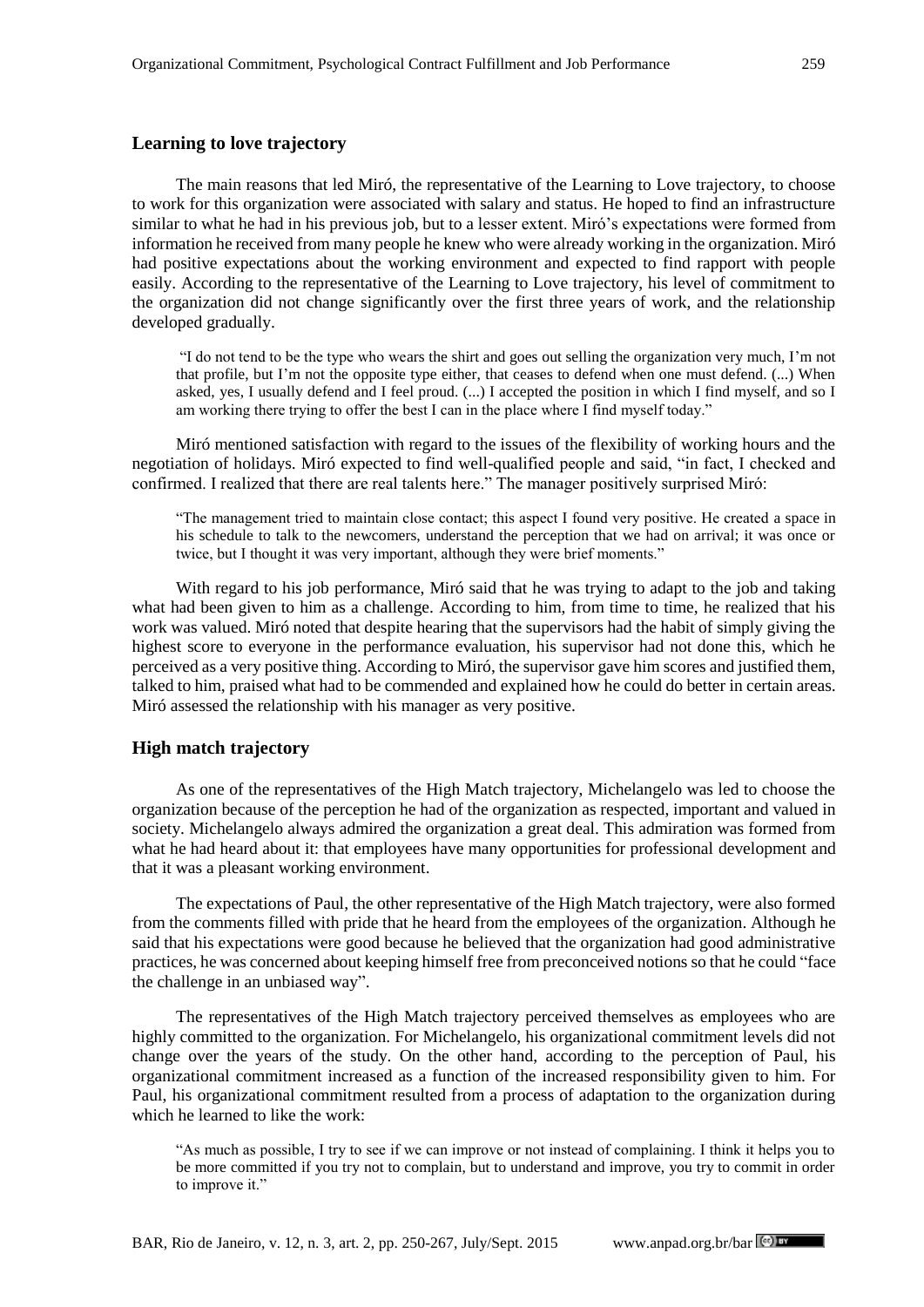The main reasons that led Miró, the representative of the Learning to Love trajectory, to choose to work for this organization were associated with salary and status. He hoped to find an infrastructure similar to what he had in his previous job, but to a lesser extent. Miró's expectations were formed from information he received from many people he knew who were already working in the organization. Miró had positive expectations about the working environment and expected to find rapport with people easily. According to the representative of the Learning to Love trajectory, his level of commitment to the organization did not change significantly over the first three years of work, and the relationship developed gradually.

"I do not tend to be the type who wears the shirt and goes out selling the organization very much, I'm not that profile, but I'm not the opposite type either, that ceases to defend when one must defend. (...) When asked, yes, I usually defend and I feel proud. (...) I accepted the position in which I find myself, and so I am working there trying to offer the best I can in the place where I find myself today."

Miró mentioned satisfaction with regard to the issues of the flexibility of working hours and the negotiation of holidays. Miró expected to find well-qualified people and said, "in fact, I checked and confirmed. I realized that there are real talents here." The manager positively surprised Miró:

"The management tried to maintain close contact; this aspect I found very positive. He created a space in his schedule to talk to the newcomers, understand the perception that we had on arrival; it was once or twice, but I thought it was very important, although they were brief moments."

With regard to his job performance, Miró said that he was trying to adapt to the job and taking what had been given to him as a challenge. According to him, from time to time, he realized that his work was valued. Miró noted that despite hearing that the supervisors had the habit of simply giving the highest score to everyone in the performance evaluation, his supervisor had not done this, which he perceived as a very positive thing. According to Miró, the supervisor gave him scores and justified them, talked to him, praised what had to be commended and explained how he could do better in certain areas. Miró assessed the relationship with his manager as very positive.

#### **High match trajectory**

As one of the representatives of the High Match trajectory, Michelangelo was led to choose the organization because of the perception he had of the organization as respected, important and valued in society. Michelangelo always admired the organization a great deal. This admiration was formed from what he had heard about it: that employees have many opportunities for professional development and that it was a pleasant working environment.

The expectations of Paul, the other representative of the High Match trajectory, were also formed from the comments filled with pride that he heard from the employees of the organization. Although he said that his expectations were good because he believed that the organization had good administrative practices, he was concerned about keeping himself free from preconceived notions so that he could "face the challenge in an unbiased way".

The representatives of the High Match trajectory perceived themselves as employees who are highly committed to the organization. For Michelangelo, his organizational commitment levels did not change over the years of the study. On the other hand, according to the perception of Paul, his organizational commitment increased as a function of the increased responsibility given to him. For Paul, his organizational commitment resulted from a process of adaptation to the organization during which he learned to like the work:

"As much as possible, I try to see if we can improve or not instead of complaining. I think it helps you to be more committed if you try not to complain, but to understand and improve, you try to commit in order to improve it."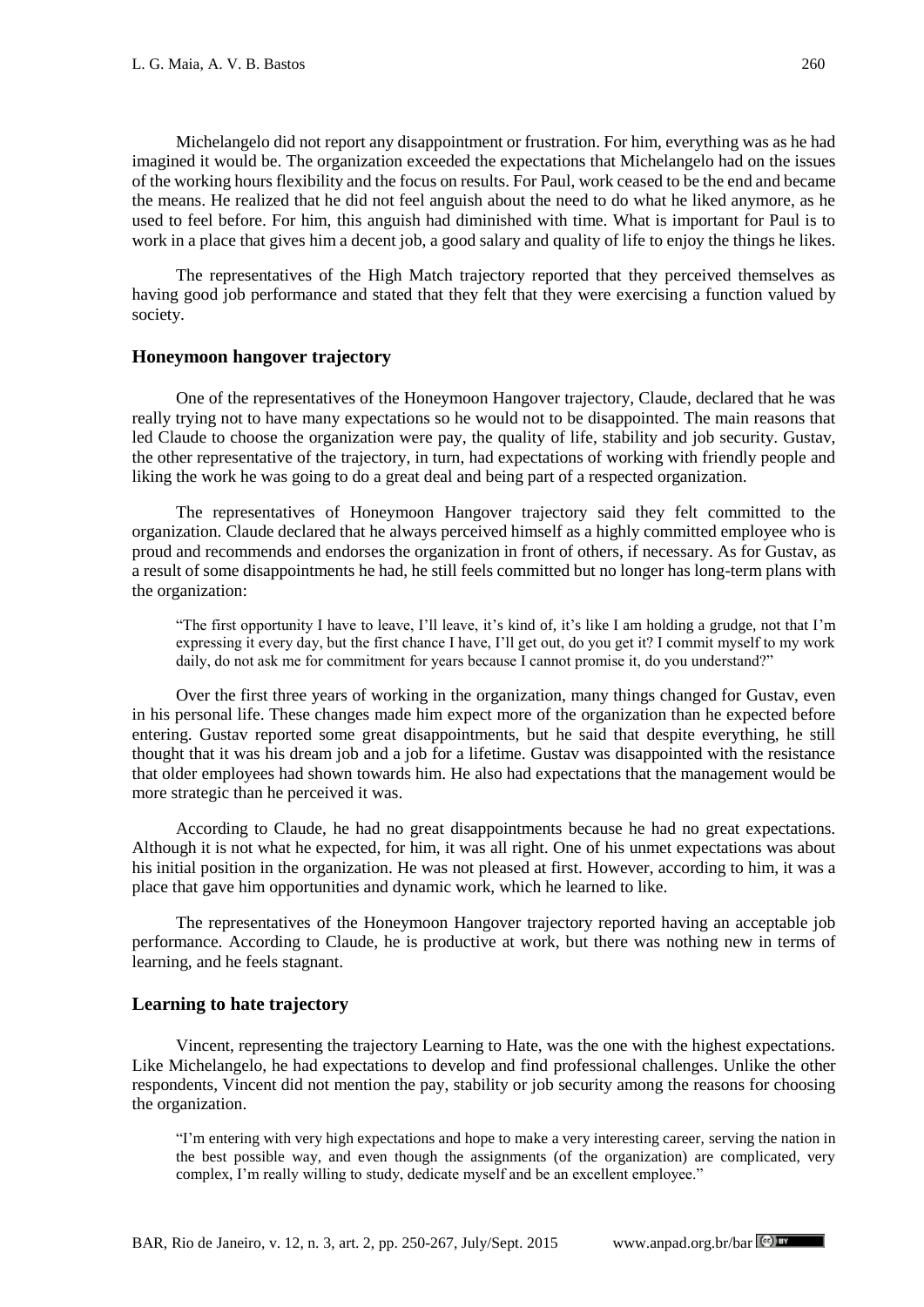Michelangelo did not report any disappointment or frustration. For him, everything was as he had imagined it would be. The organization exceeded the expectations that Michelangelo had on the issues of the working hours flexibility and the focus on results. For Paul, work ceased to be the end and became the means. He realized that he did not feel anguish about the need to do what he liked anymore, as he used to feel before. For him, this anguish had diminished with time. What is important for Paul is to work in a place that gives him a decent job, a good salary and quality of life to enjoy the things he likes.

The representatives of the High Match trajectory reported that they perceived themselves as having good job performance and stated that they felt that they were exercising a function valued by society.

## **Honeymoon hangover trajectory**

One of the representatives of the Honeymoon Hangover trajectory, Claude, declared that he was really trying not to have many expectations so he would not to be disappointed. The main reasons that led Claude to choose the organization were pay, the quality of life, stability and job security. Gustav, the other representative of the trajectory, in turn, had expectations of working with friendly people and liking the work he was going to do a great deal and being part of a respected organization.

The representatives of Honeymoon Hangover trajectory said they felt committed to the organization. Claude declared that he always perceived himself as a highly committed employee who is proud and recommends and endorses the organization in front of others, if necessary. As for Gustav, as a result of some disappointments he had, he still feels committed but no longer has long-term plans with the organization:

"The first opportunity I have to leave, I'll leave, it's kind of, it's like I am holding a grudge, not that I'm expressing it every day, but the first chance I have, I'll get out, do you get it? I commit myself to my work daily, do not ask me for commitment for years because I cannot promise it, do you understand?"

Over the first three years of working in the organization, many things changed for Gustav, even in his personal life. These changes made him expect more of the organization than he expected before entering. Gustav reported some great disappointments, but he said that despite everything, he still thought that it was his dream job and a job for a lifetime. Gustav was disappointed with the resistance that older employees had shown towards him. He also had expectations that the management would be more strategic than he perceived it was.

According to Claude, he had no great disappointments because he had no great expectations. Although it is not what he expected, for him, it was all right. One of his unmet expectations was about his initial position in the organization. He was not pleased at first. However, according to him, it was a place that gave him opportunities and dynamic work, which he learned to like.

The representatives of the Honeymoon Hangover trajectory reported having an acceptable job performance. According to Claude, he is productive at work, but there was nothing new in terms of learning, and he feels stagnant.

# **Learning to hate trajectory**

Vincent, representing the trajectory Learning to Hate, was the one with the highest expectations. Like Michelangelo, he had expectations to develop and find professional challenges. Unlike the other respondents, Vincent did not mention the pay, stability or job security among the reasons for choosing the organization.

"I'm entering with very high expectations and hope to make a very interesting career, serving the nation in the best possible way, and even though the assignments (of the organization) are complicated, very complex, I'm really willing to study, dedicate myself and be an excellent employee."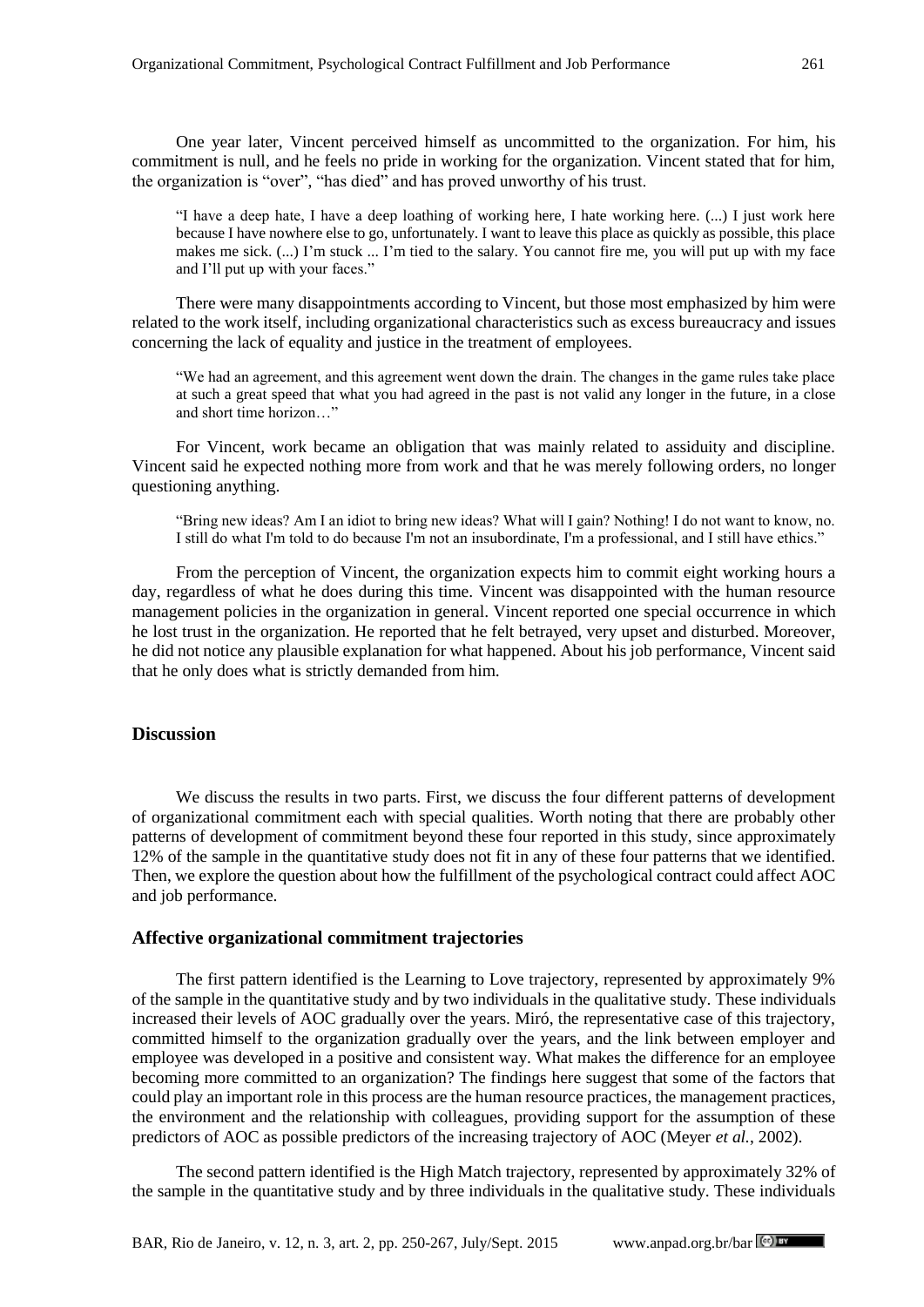One year later, Vincent perceived himself as uncommitted to the organization. For him, his commitment is null, and he feels no pride in working for the organization. Vincent stated that for him, the organization is "over", "has died" and has proved unworthy of his trust.

"I have a deep hate, I have a deep loathing of working here, I hate working here. (...) I just work here because I have nowhere else to go, unfortunately. I want to leave this place as quickly as possible, this place makes me sick. (...) I'm stuck ... I'm tied to the salary. You cannot fire me, you will put up with my face and I'll put up with your faces."

There were many disappointments according to Vincent, but those most emphasized by him were related to the work itself, including organizational characteristics such as excess bureaucracy and issues concerning the lack of equality and justice in the treatment of employees.

"We had an agreement, and this agreement went down the drain. The changes in the game rules take place at such a great speed that what you had agreed in the past is not valid any longer in the future, in a close and short time horizon…"

For Vincent, work became an obligation that was mainly related to assiduity and discipline. Vincent said he expected nothing more from work and that he was merely following orders, no longer questioning anything.

"Bring new ideas? Am I an idiot to bring new ideas? What will I gain? Nothing! I do not want to know, no. I still do what I'm told to do because I'm not an insubordinate, I'm a professional, and I still have ethics."

From the perception of Vincent, the organization expects him to commit eight working hours a day, regardless of what he does during this time. Vincent was disappointed with the human resource management policies in the organization in general. Vincent reported one special occurrence in which he lost trust in the organization. He reported that he felt betrayed, very upset and disturbed. Moreover, he did not notice any plausible explanation for what happened. About his job performance, Vincent said that he only does what is strictly demanded from him.

## **Discussion**

We discuss the results in two parts. First, we discuss the four different patterns of development of organizational commitment each with special qualities. Worth noting that there are probably other patterns of development of commitment beyond these four reported in this study, since approximately 12% of the sample in the quantitative study does not fit in any of these four patterns that we identified. Then, we explore the question about how the fulfillment of the psychological contract could affect AOC and job performance.

#### **Affective organizational commitment trajectories**

The first pattern identified is the Learning to Love trajectory, represented by approximately 9% of the sample in the quantitative study and by two individuals in the qualitative study. These individuals increased their levels of AOC gradually over the years. Miró, the representative case of this trajectory, committed himself to the organization gradually over the years, and the link between employer and employee was developed in a positive and consistent way. What makes the difference for an employee becoming more committed to an organization? The findings here suggest that some of the factors that could play an important role in this process are the human resource practices, the management practices, the environment and the relationship with colleagues, providing support for the assumption of these predictors of AOC as possible predictors of the increasing trajectory of AOC (Meyer *et al.*, 2002).

The second pattern identified is the High Match trajectory, represented by approximately 32% of the sample in the quantitative study and by three individuals in the qualitative study. These individuals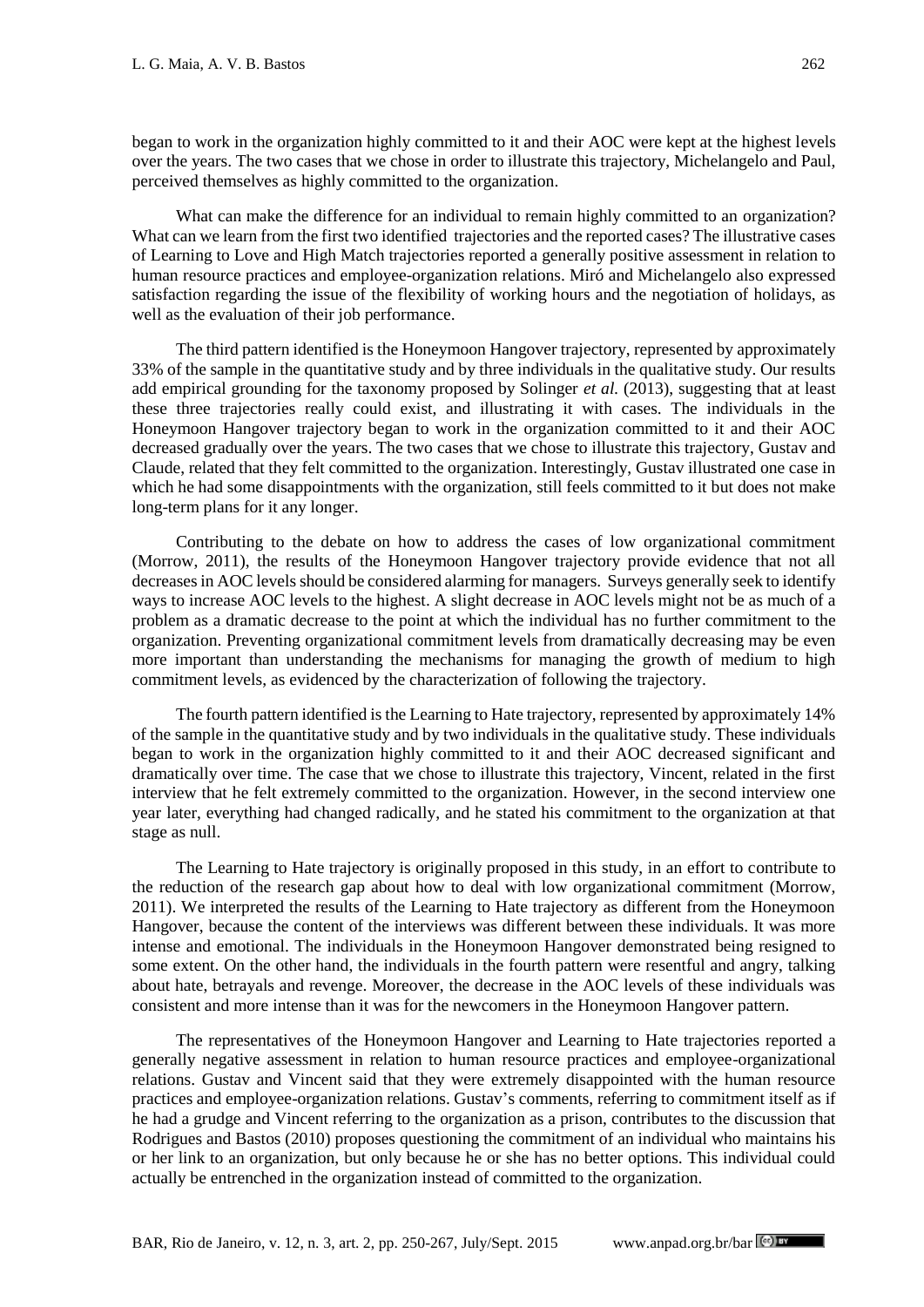began to work in the organization highly committed to it and their AOC were kept at the highest levels over the years. The two cases that we chose in order to illustrate this trajectory, Michelangelo and Paul, perceived themselves as highly committed to the organization.

What can make the difference for an individual to remain highly committed to an organization? What can we learn from the first two identified trajectories and the reported cases? The illustrative cases of Learning to Love and High Match trajectories reported a generally positive assessment in relation to human resource practices and employee-organization relations. Miró and Michelangelo also expressed satisfaction regarding the issue of the flexibility of working hours and the negotiation of holidays, as well as the evaluation of their job performance.

The third pattern identified is the Honeymoon Hangover trajectory, represented by approximately 33% of the sample in the quantitative study and by three individuals in the qualitative study. Our results add empirical grounding for the taxonomy proposed by Solinger *et al.* (2013), suggesting that at least these three trajectories really could exist, and illustrating it with cases. The individuals in the Honeymoon Hangover trajectory began to work in the organization committed to it and their AOC decreased gradually over the years. The two cases that we chose to illustrate this trajectory, Gustav and Claude, related that they felt committed to the organization. Interestingly, Gustav illustrated one case in which he had some disappointments with the organization, still feels committed to it but does not make long-term plans for it any longer.

Contributing to the debate on how to address the cases of low organizational commitment (Morrow, 2011), the results of the Honeymoon Hangover trajectory provide evidence that not all decreases in AOC levels should be considered alarming for managers. Surveys generally seek to identify ways to increase AOC levels to the highest. A slight decrease in AOC levels might not be as much of a problem as a dramatic decrease to the point at which the individual has no further commitment to the organization. Preventing organizational commitment levels from dramatically decreasing may be even more important than understanding the mechanisms for managing the growth of medium to high commitment levels, as evidenced by the characterization of following the trajectory.

The fourth pattern identified is the Learning to Hate trajectory, represented by approximately 14% of the sample in the quantitative study and by two individuals in the qualitative study. These individuals began to work in the organization highly committed to it and their AOC decreased significant and dramatically over time. The case that we chose to illustrate this trajectory, Vincent, related in the first interview that he felt extremely committed to the organization. However, in the second interview one year later, everything had changed radically, and he stated his commitment to the organization at that stage as null.

The Learning to Hate trajectory is originally proposed in this study, in an effort to contribute to the reduction of the research gap about how to deal with low organizational commitment (Morrow, 2011). We interpreted the results of the Learning to Hate trajectory as different from the Honeymoon Hangover, because the content of the interviews was different between these individuals. It was more intense and emotional. The individuals in the Honeymoon Hangover demonstrated being resigned to some extent. On the other hand, the individuals in the fourth pattern were resentful and angry, talking about hate, betrayals and revenge. Moreover, the decrease in the AOC levels of these individuals was consistent and more intense than it was for the newcomers in the Honeymoon Hangover pattern.

The representatives of the Honeymoon Hangover and Learning to Hate trajectories reported a generally negative assessment in relation to human resource practices and employee-organizational relations. Gustav and Vincent said that they were extremely disappointed with the human resource practices and employee-organization relations. Gustav's comments, referring to commitment itself as if he had a grudge and Vincent referring to the organization as a prison, contributes to the discussion that Rodrigues and Bastos (2010) proposes questioning the commitment of an individual who maintains his or her link to an organization, but only because he or she has no better options. This individual could actually be entrenched in the organization instead of committed to the organization.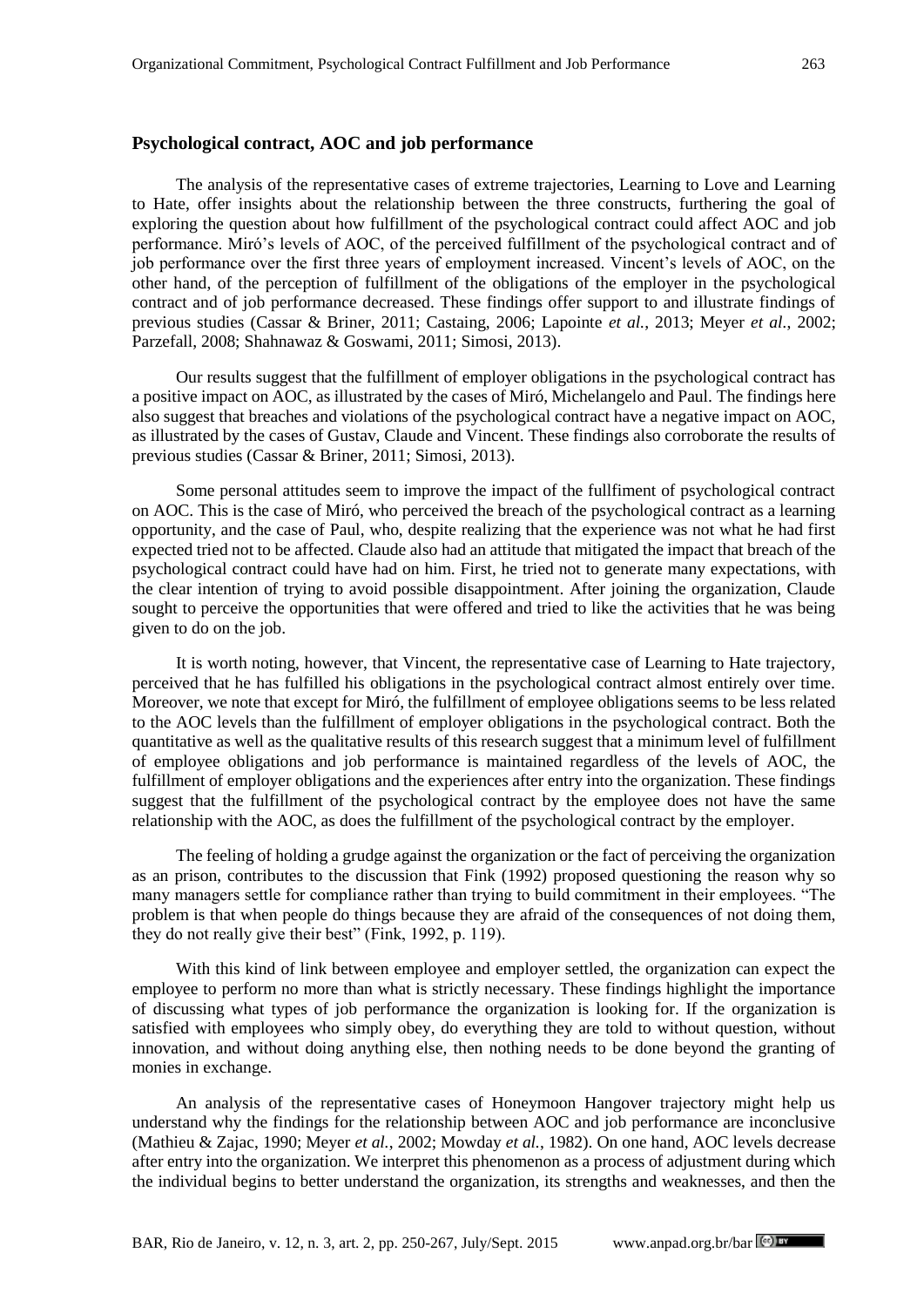The analysis of the representative cases of extreme trajectories, Learning to Love and Learning to Hate, offer insights about the relationship between the three constructs, furthering the goal of exploring the question about how fulfillment of the psychological contract could affect AOC and job performance. Miró's levels of AOC, of the perceived fulfillment of the psychological contract and of job performance over the first three years of employment increased. Vincent's levels of AOC, on the other hand, of the perception of fulfillment of the obligations of the employer in the psychological contract and of job performance decreased. These findings offer support to and illustrate findings of previous studies (Cassar & Briner, 2011; Castaing, 2006; Lapointe *et al.*, 2013; Meyer *et al.*, 2002; Parzefall, 2008; Shahnawaz & Goswami, 2011; Simosi, 2013).

Our results suggest that the fulfillment of employer obligations in the psychological contract has a positive impact on AOC, as illustrated by the cases of Miró, Michelangelo and Paul. The findings here also suggest that breaches and violations of the psychological contract have a negative impact on AOC, as illustrated by the cases of Gustav, Claude and Vincent. These findings also corroborate the results of previous studies (Cassar & Briner, 2011; Simosi, 2013).

Some personal attitudes seem to improve the impact of the fullfiment of psychological contract on AOC. This is the case of Miró, who perceived the breach of the psychological contract as a learning opportunity, and the case of Paul, who, despite realizing that the experience was not what he had first expected tried not to be affected. Claude also had an attitude that mitigated the impact that breach of the psychological contract could have had on him. First, he tried not to generate many expectations, with the clear intention of trying to avoid possible disappointment. After joining the organization, Claude sought to perceive the opportunities that were offered and tried to like the activities that he was being given to do on the job.

It is worth noting, however, that Vincent, the representative case of Learning to Hate trajectory, perceived that he has fulfilled his obligations in the psychological contract almost entirely over time. Moreover, we note that except for Miró, the fulfillment of employee obligations seems to be less related to the AOC levels than the fulfillment of employer obligations in the psychological contract. Both the quantitative as well as the qualitative results of this research suggest that a minimum level of fulfillment of employee obligations and job performance is maintained regardless of the levels of AOC, the fulfillment of employer obligations and the experiences after entry into the organization. These findings suggest that the fulfillment of the psychological contract by the employee does not have the same relationship with the AOC, as does the fulfillment of the psychological contract by the employer.

The feeling of holding a grudge against the organization or the fact of perceiving the organization as an prison, contributes to the discussion that Fink (1992) proposed questioning the reason why so many managers settle for compliance rather than trying to build commitment in their employees. "The problem is that when people do things because they are afraid of the consequences of not doing them, they do not really give their best" (Fink, 1992, p. 119).

With this kind of link between employee and employer settled, the organization can expect the employee to perform no more than what is strictly necessary. These findings highlight the importance of discussing what types of job performance the organization is looking for. If the organization is satisfied with employees who simply obey, do everything they are told to without question, without innovation, and without doing anything else, then nothing needs to be done beyond the granting of monies in exchange.

An analysis of the representative cases of Honeymoon Hangover trajectory might help us understand why the findings for the relationship between AOC and job performance are inconclusive (Mathieu & Zajac, 1990; Meyer *et al.*, 2002; Mowday *et al.*, 1982). On one hand, AOC levels decrease after entry into the organization. We interpret this phenomenon as a process of adjustment during which the individual begins to better understand the organization, its strengths and weaknesses, and then the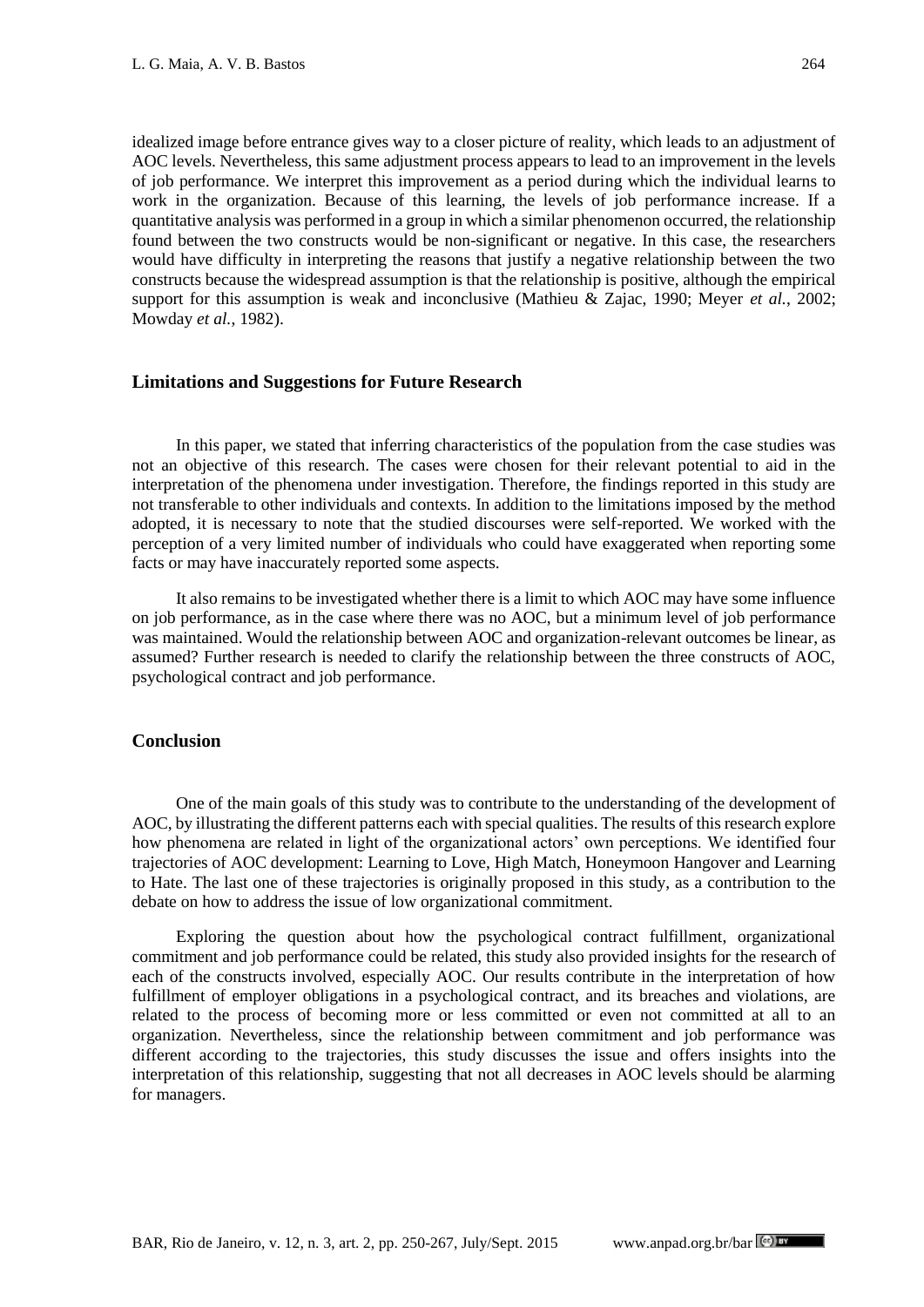idealized image before entrance gives way to a closer picture of reality, which leads to an adjustment of AOC levels. Nevertheless, this same adjustment process appears to lead to an improvement in the levels of job performance. We interpret this improvement as a period during which the individual learns to work in the organization. Because of this learning, the levels of job performance increase. If a quantitative analysis was performed in a group in which a similar phenomenon occurred, the relationship found between the two constructs would be non-significant or negative. In this case, the researchers would have difficulty in interpreting the reasons that justify a negative relationship between the two constructs because the widespread assumption is that the relationship is positive, although the empirical support for this assumption is weak and inconclusive (Mathieu & Zajac, 1990; Meyer *et al.*, 2002; Mowday *et al.*, 1982).

#### **Limitations and Suggestions for Future Research**

In this paper, we stated that inferring characteristics of the population from the case studies was not an objective of this research. The cases were chosen for their relevant potential to aid in the interpretation of the phenomena under investigation. Therefore, the findings reported in this study are not transferable to other individuals and contexts. In addition to the limitations imposed by the method adopted, it is necessary to note that the studied discourses were self-reported. We worked with the perception of a very limited number of individuals who could have exaggerated when reporting some facts or may have inaccurately reported some aspects.

It also remains to be investigated whether there is a limit to which AOC may have some influence on job performance, as in the case where there was no AOC, but a minimum level of job performance was maintained. Would the relationship between AOC and organization-relevant outcomes be linear, as assumed? Further research is needed to clarify the relationship between the three constructs of AOC, psychological contract and job performance.

## **Conclusion**

One of the main goals of this study was to contribute to the understanding of the development of AOC, by illustrating the different patterns each with special qualities. The results of this research explore how phenomena are related in light of the organizational actors' own perceptions. We identified four trajectories of AOC development: Learning to Love, High Match, Honeymoon Hangover and Learning to Hate. The last one of these trajectories is originally proposed in this study, as a contribution to the debate on how to address the issue of low organizational commitment.

Exploring the question about how the psychological contract fulfillment, organizational commitment and job performance could be related, this study also provided insights for the research of each of the constructs involved, especially AOC. Our results contribute in the interpretation of how fulfillment of employer obligations in a psychological contract, and its breaches and violations, are related to the process of becoming more or less committed or even not committed at all to an organization. Nevertheless, since the relationship between commitment and job performance was different according to the trajectories, this study discusses the issue and offers insights into the interpretation of this relationship, suggesting that not all decreases in AOC levels should be alarming for managers.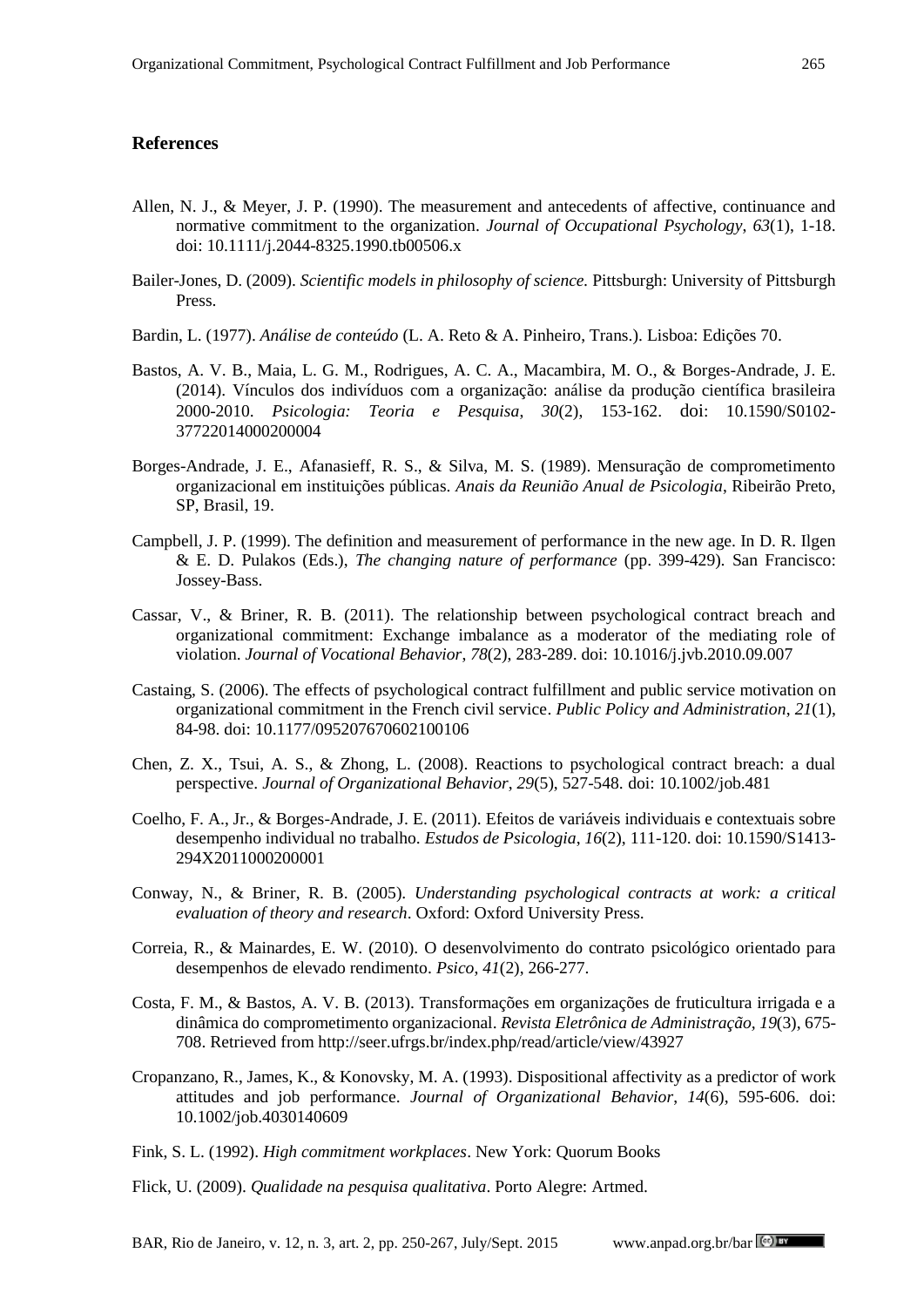## **References**

- Allen, N. J., & Meyer, J. P. (1990). The measurement and antecedents of affective, continuance and normative commitment to the organization. *Journal of Occupational Psychology*, *63*(1), 1-18. doi: 10.1111/j.2044-8325.1990.tb00506.x
- Bailer-Jones, D. (2009). *Scientific models in philosophy of science.* Pittsburgh: University of Pittsburgh Press.
- Bardin, L. (1977). *Análise de conteúdo* (L. A. Reto & A. Pinheiro, Trans.). Lisboa: Edições 70.
- Bastos, A. V. B., Maia, L. G. M., Rodrigues, A. C. A., Macambira, M. O., & Borges-Andrade, J. E. (2014). Vínculos dos indivíduos com a organização: análise da produção científica brasileira 2000-2010. *Psicologia: Teoria e Pesquisa*, *30*(2), 153-162. [doi](http://dx.doi/): 10.1590/S0102- 37722014000200004
- Borges-Andrade, J. E., Afanasieff, R. S., & Silva, M. S. (1989). Mensuração de comprometimento organizacional em instituições públicas. *Anais da Reunião Anual de Psicologia*, Ribeirão Preto, SP, Brasil, 19.
- Campbell, J. P. (1999). The definition and measurement of performance in the new age. In D. R. Ilgen & E. D. Pulakos (Eds.), *The changing nature of performance* (pp. 399-429)*.* San Francisco: Jossey-Bass.
- Cassar, V., & Briner, R. B. (2011). The relationship between psychological contract breach and organizational commitment: Exchange imbalance as a moderator of the mediating role of violation. *Journal of Vocational Behavior*, *78*(2), 283-289. doi: 10.1016/j.jvb.2010.09.007
- Castaing, S. (2006). The effects of psychological contract fulfillment and public service motivation on organizational commitment in the French civil service. *Public Policy and Administration*, *21*(1), 84-98. doi: 10.1177/095207670602100106
- Chen, Z. X., Tsui, A. S., & Zhong, L. (2008). Reactions to psychological contract breach: a dual perspective. *Journal of Organizational Behavior*, *29*(5), 527-548. doi: 10.1002/job.481
- Coelho, F. A., Jr., & Borges-Andrade, J. E. (2011). Efeitos de variáveis individuais e contextuais sobre desempenho individual no trabalho. *Estudos de Psicologia*, *16*(2), 111-120. doi: 10.1590/S1413- 294X2011000200001
- Conway, N., & Briner, R. B. (2005). *Understanding psychological contracts at work: a critical evaluation of theory and research*. Oxford: Oxford University Press.
- Correia, R., & Mainardes, E. W. (2010). O desenvolvimento do contrato psicológico orientado para desempenhos de elevado rendimento. *Psico*, *41*(2), 266-277.
- Costa, F. M., & Bastos, A. V. B. (2013). Transformações em organizações de fruticultura irrigada e a dinâmica do comprometimento organizacional. *Revista Eletrônica de Administração, 19*(3), 675- 708. Retrieved from http://seer.ufrgs.br/index.php/read/article/view/43927
- Cropanzano, R., James, K., & Konovsky, M. A. (1993). Dispositional affectivity as a predictor of work attitudes and job performance. *Journal of Organizational Behavior*, *14*(6), 595-606. doi: 10.1002/job.4030140609
- Fink, S. L. (1992). *High commitment workplaces*. New York: Quorum Books

Flick, U. (2009). *Qualidade na pesquisa qualitativa*. Porto Alegre: Artmed.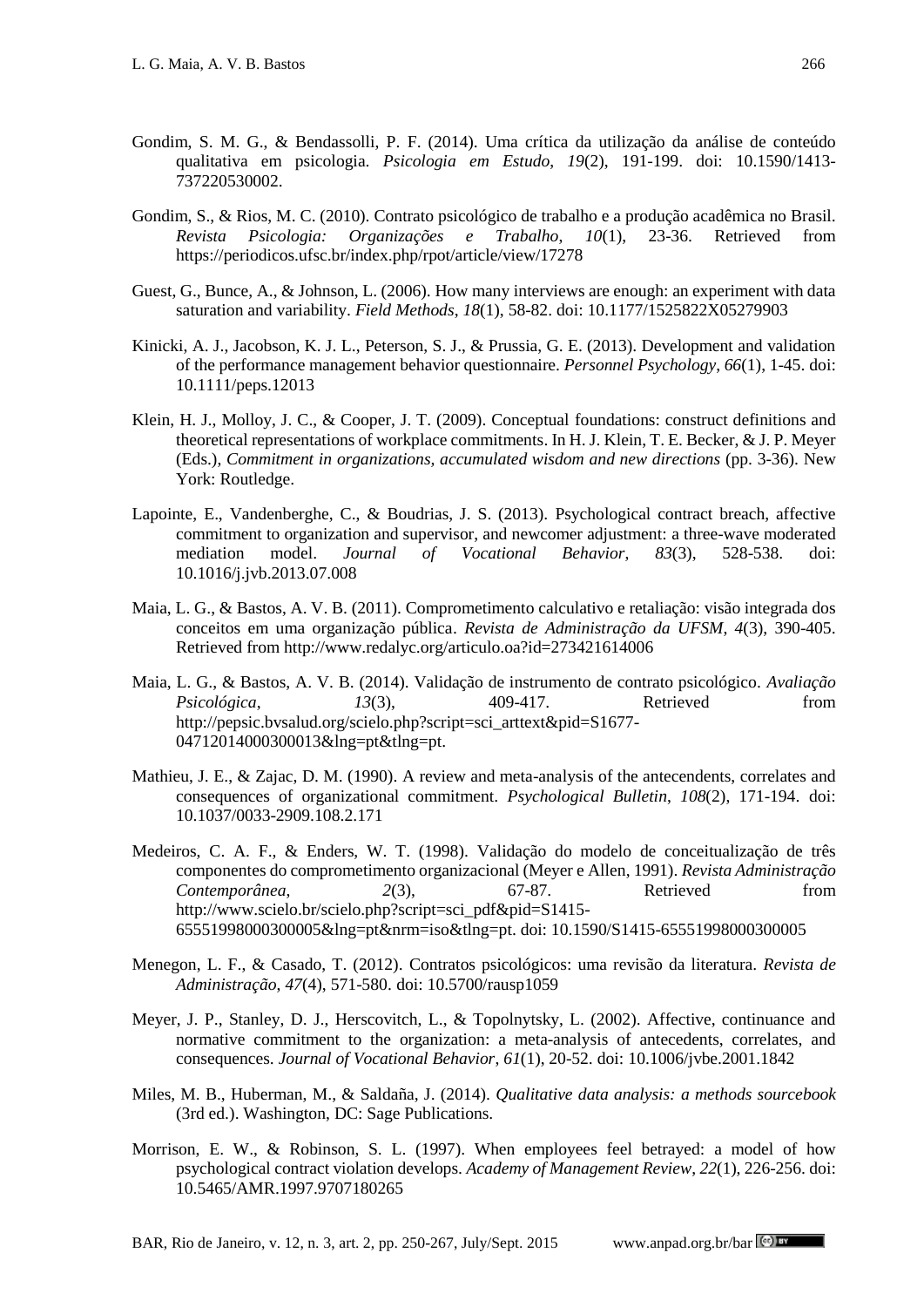- Gondim, S. M. G., & Bendassolli, P. F. (2014). Uma crítica da utilização da análise de conteúdo qualitativa em psicologia. *Psicologia em Estudo*, *19*(2), 191-199. doi: 10.1590/1413- 737220530002.
- Gondim, S., & Rios, M. C. (2010). Contrato psicológico de trabalho e a produção acadêmica no Brasil. *Revista Psicologia: Organizações e Trabalho*, *10*(1), 23-36. Retrieved from https://periodicos.ufsc.br/index.php/rpot/article/view/17278
- Guest, G., Bunce, A., & Johnson, L. (2006). How many interviews are enough: an experiment with data saturation and variability. *Field Methods*, *18*(1), 58-82. doi: 10.1177/1525822X05279903
- Kinicki, A. J., Jacobson, K. J. L., Peterson, S. J., & Prussia, G. E. (2013). Development and validation of the performance management behavior questionnaire. *Personnel Psychology*, *66*(1), 1-45. doi: 10.1111/peps.12013
- Klein, H. J., Molloy, J. C., & Cooper, J. T. (2009). Conceptual foundations: construct definitions and theoretical representations of workplace commitments. In H. J. Klein, T. E. Becker, & J. P. Meyer (Eds.), *Commitment in organizations, accumulated wisdom and new directions* (pp. 3-36). New York: Routledge.
- Lapointe, E., Vandenberghe, C., & Boudrias, J. S. (2013). Psychological contract breach, affective commitment to organization and supervisor, and newcomer adjustment: a three-wave moderated mediation model. *Journal of Vocational Behavior*, *83*(3), 528-538. doi: 10.1016/j.jvb.2013.07.008
- Maia, L. G., & Bastos, A. V. B. (2011). Comprometimento calculativo e retaliação: visão integrada dos conceitos em uma organização pública. *Revista de Administração da UFSM*, *4*(3), 390-405. Retrieved from http://www.redalyc.org/articulo.oa?id=273421614006
- Maia, L. G., & Bastos, A. V. B. (2014). Validação de instrumento de contrato psicológico. *Avaliação Psicológica*, *13*(3), 409-417. Retrieved from http://pepsic.bvsalud.org/scielo.php?script=sci\_arttext&pid=S1677- 04712014000300013&lng=pt&tlng=pt.
- Mathieu, J. E., & Zajac, D. M. (1990). A review and meta-analysis of the antecendents, correlates and consequences of organizational commitment. *Psychological Bulletin*, *108*(2), 171-194. doi: 10.1037/0033-2909.108.2.171
- Medeiros, C. A. F., & Enders, W. T. (1998). Validação do modelo de conceitualização de três componentes do comprometimento organizacional (Meyer e Allen, 1991). *Revista Administração Contemporânea*, *2*(3), 67-87. Retrieved from http://www.scielo.br/scielo.php?script=sci\_pdf&pid=S1415- 65551998000300005&lng=pt&nrm=iso&tlng=pt. doi: 10.1590/S1415-65551998000300005
- Menegon, L. F., & Casado, T. (2012). Contratos psicológicos: uma revisão da literatura. *Revista de Administração*, *47*(4), 571-580. doi: 10.5700/rausp1059
- Meyer, J. P., Stanley, D. J., Herscovitch, L., & Topolnytsky, L. (2002). Affective, continuance and normative commitment to the organization: a meta-analysis of antecedents, correlates, and consequences. *Journal of Vocational Behavior*, *61*(1), 20-52. doi: 10.1006/jvbe.2001.1842
- Miles, M. B., Huberman, M., & Saldaña, J. (2014). *Qualitative data analysis: a methods sourcebook* (3rd ed.). Washington, DC: Sage Publications.
- Morrison, E. W., & Robinson, S. L. (1997). When employees feel betrayed: a model of how psychological contract violation develops. *Academy of Management Review*, *22*(1), 226-256. doi: 10.5465/AMR.1997.9707180265